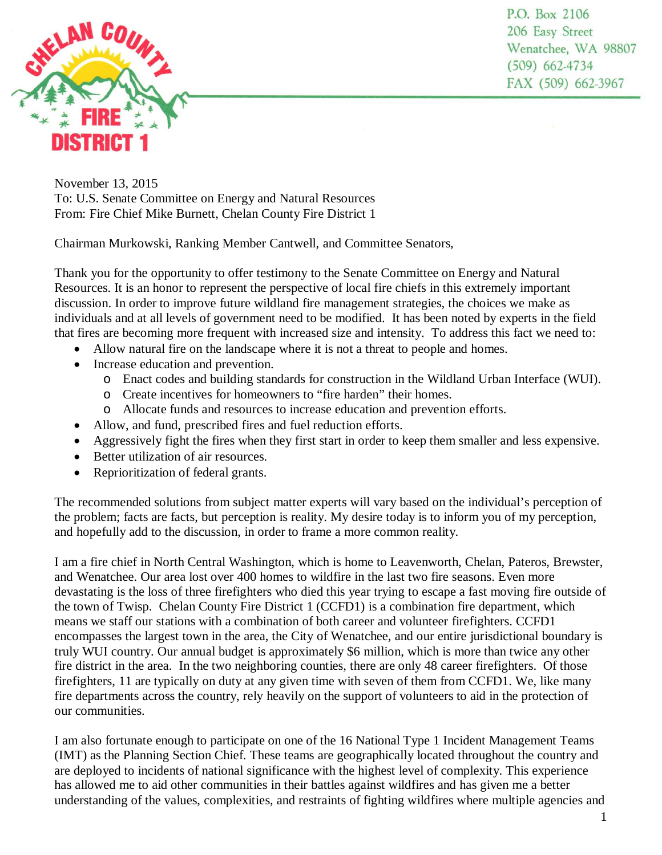

P.O. Box 2106 206 Easy Street Wenatchee, WA 98807  $(509)$  662-4734 FAX (509) 662-3967

November 13, 2015 To: U.S. Senate Committee on Energy and Natural Resources From: Fire Chief Mike Burnett, Chelan County Fire District 1

Chairman Murkowski, Ranking Member Cantwell, and Committee Senators,

Thank you for the opportunity to offer testimony to the Senate Committee on Energy and Natural Resources. It is an honor to represent the perspective of local fire chiefs in this extremely important discussion. In order to improve future wildland fire management strategies, the choices we make as individuals and at all levels of government need to be modified. It has been noted by experts in the field that fires are becoming more frequent with increased size and intensity. To address this fact we need to:

- Allow natural fire on the landscape where it is not a threat to people and homes.
- Increase education and prevention.
	- o Enact codes and building standards for construction in the Wildland Urban Interface (WUI).
	- o Create incentives for homeowners to "fire harden" their homes.
	- o Allocate funds and resources to increase education and prevention efforts.
- Allow, and fund, prescribed fires and fuel reduction efforts.
- Aggressively fight the fires when they first start in order to keep them smaller and less expensive.
- Better utilization of air resources.
- Reprioritization of federal grants.

The recommended solutions from subject matter experts will vary based on the individual's perception of the problem; facts are facts, but perception is reality. My desire today is to inform you of my perception, and hopefully add to the discussion, in order to frame a more common reality.

I am a fire chief in North Central Washington, which is home to Leavenworth, Chelan, Pateros, Brewster, and Wenatchee. Our area lost over 400 homes to wildfire in the last two fire seasons. Even more devastating is the loss of three firefighters who died this year trying to escape a fast moving fire outside of the town of Twisp. Chelan County Fire District 1 (CCFD1) is a combination fire department, which means we staff our stations with a combination of both career and volunteer firefighters. CCFD1 encompasses the largest town in the area, the City of Wenatchee, and our entire jurisdictional boundary is truly WUI country. Our annual budget is approximately \$6 million, which is more than twice any other fire district in the area. In the two neighboring counties, there are only 48 career firefighters. Of those firefighters, 11 are typically on duty at any given time with seven of them from CCFD1. We, like many fire departments across the country, rely heavily on the support of volunteers to aid in the protection of our communities.

I am also fortunate enough to participate on one of the 16 National Type 1 Incident Management Teams (IMT) as the Planning Section Chief. These teams are geographically located throughout the country and are deployed to incidents of national significance with the highest level of complexity. This experience has allowed me to aid other communities in their battles against wildfires and has given me a better understanding of the values, complexities, and restraints of fighting wildfires where multiple agencies and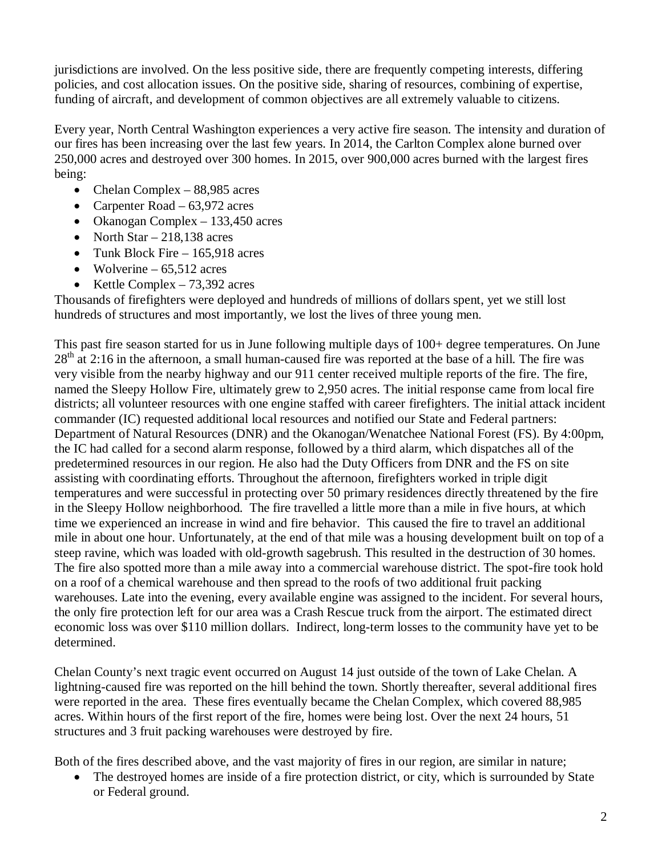jurisdictions are involved. On the less positive side, there are frequently competing interests, differing policies, and cost allocation issues. On the positive side, sharing of resources, combining of expertise, funding of aircraft, and development of common objectives are all extremely valuable to citizens.

Every year, North Central Washington experiences a very active fire season. The intensity and duration of our fires has been increasing over the last few years. In 2014, the Carlton Complex alone burned over 250,000 acres and destroyed over 300 homes. In 2015, over 900,000 acres burned with the largest fires being:

- Chelan Complex 88,985 acres
- Carpenter Road 63,972 acres
- Okanogan Complex 133,450 acres
- North Star  $-218,138$  acres
- Tunk Block Fire 165,918 acres
- Wolverine  $65.512$  acres
- Kettle Complex  $73,392$  acres

Thousands of firefighters were deployed and hundreds of millions of dollars spent, yet we still lost hundreds of structures and most importantly, we lost the lives of three young men.

This past fire season started for us in June following multiple days of 100+ degree temperatures. On June  $28<sup>th</sup>$  at 2:16 in the afternoon, a small human-caused fire was reported at the base of a hill. The fire was very visible from the nearby highway and our 911 center received multiple reports of the fire. The fire, named the Sleepy Hollow Fire, ultimately grew to 2,950 acres. The initial response came from local fire districts; all volunteer resources with one engine staffed with career firefighters. The initial attack incident commander (IC) requested additional local resources and notified our State and Federal partners: Department of Natural Resources (DNR) and the Okanogan/Wenatchee National Forest (FS). By 4:00pm, the IC had called for a second alarm response, followed by a third alarm, which dispatches all of the predetermined resources in our region. He also had the Duty Officers from DNR and the FS on site assisting with coordinating efforts. Throughout the afternoon, firefighters worked in triple digit temperatures and were successful in protecting over 50 primary residences directly threatened by the fire in the Sleepy Hollow neighborhood. The fire travelled a little more than a mile in five hours, at which time we experienced an increase in wind and fire behavior. This caused the fire to travel an additional mile in about one hour. Unfortunately, at the end of that mile was a housing development built on top of a steep ravine, which was loaded with old-growth sagebrush. This resulted in the destruction of 30 homes. The fire also spotted more than a mile away into a commercial warehouse district. The spot-fire took hold on a roof of a chemical warehouse and then spread to the roofs of two additional fruit packing warehouses. Late into the evening, every available engine was assigned to the incident. For several hours, the only fire protection left for our area was a Crash Rescue truck from the airport. The estimated direct economic loss was over \$110 million dollars. Indirect, long-term losses to the community have yet to be determined.

Chelan County's next tragic event occurred on August 14 just outside of the town of Lake Chelan. A lightning-caused fire was reported on the hill behind the town. Shortly thereafter, several additional fires were reported in the area. These fires eventually became the Chelan Complex, which covered 88,985 acres. Within hours of the first report of the fire, homes were being lost. Over the next 24 hours, 51 structures and 3 fruit packing warehouses were destroyed by fire.

Both of the fires described above, and the vast majority of fires in our region, are similar in nature;

The destroyed homes are inside of a fire protection district, or city, which is surrounded by State or Federal ground.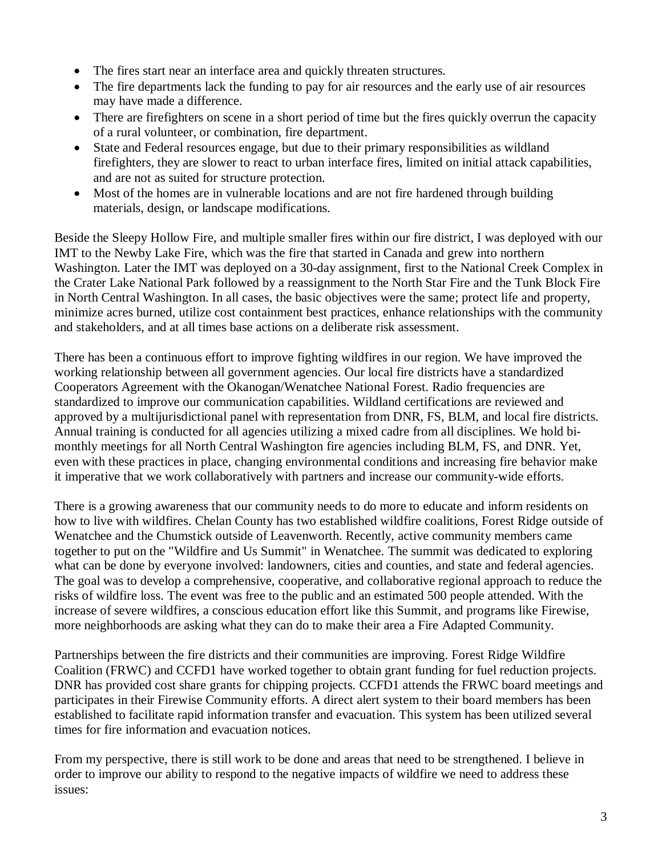- The fires start near an interface area and quickly threaten structures.
- The fire departments lack the funding to pay for air resources and the early use of air resources may have made a difference.
- There are firefighters on scene in a short period of time but the fires quickly overrun the capacity of a rural volunteer, or combination, fire department.
- State and Federal resources engage, but due to their primary responsibilities as wildland firefighters, they are slower to react to urban interface fires, limited on initial attack capabilities, and are not as suited for structure protection.
- Most of the homes are in vulnerable locations and are not fire hardened through building materials, design, or landscape modifications.

Beside the Sleepy Hollow Fire, and multiple smaller fires within our fire district, I was deployed with our IMT to the Newby Lake Fire, which was the fire that started in Canada and grew into northern Washington. Later the IMT was deployed on a 30-day assignment, first to the National Creek Complex in the Crater Lake National Park followed by a reassignment to the North Star Fire and the Tunk Block Fire in North Central Washington. In all cases, the basic objectives were the same; protect life and property, minimize acres burned, utilize cost containment best practices, enhance relationships with the community and stakeholders, and at all times base actions on a deliberate risk assessment.

There has been a continuous effort to improve fighting wildfires in our region. We have improved the working relationship between all government agencies. Our local fire districts have a standardized Cooperators Agreement with the Okanogan/Wenatchee National Forest. Radio frequencies are standardized to improve our communication capabilities. Wildland certifications are reviewed and approved by a multijurisdictional panel with representation from DNR, FS, BLM, and local fire districts. Annual training is conducted for all agencies utilizing a mixed cadre from all disciplines. We hold bimonthly meetings for all North Central Washington fire agencies including BLM, FS, and DNR. Yet, even with these practices in place, changing environmental conditions and increasing fire behavior make it imperative that we work collaboratively with partners and increase our community-wide efforts.

There is a growing awareness that our community needs to do more to educate and inform residents on how to live with wildfires. Chelan County has two established wildfire coalitions, Forest Ridge outside of Wenatchee and the Chumstick outside of Leavenworth. Recently, active community members came together to put on the "Wildfire and Us Summit" in Wenatchee. The summit was dedicated to exploring what can be done by everyone involved: landowners, cities and counties, and state and federal agencies. The goal was to develop a comprehensive, cooperative, and collaborative regional approach to reduce the risks of wildfire loss. The event was free to the public and an estimated 500 people attended. With the increase of severe wildfires, a conscious education effort like this Summit, and programs like Firewise, more neighborhoods are asking what they can do to make their area a Fire Adapted Community.

Partnerships between the fire districts and their communities are improving. Forest Ridge Wildfire Coalition (FRWC) and CCFD1 have worked together to obtain grant funding for fuel reduction projects. DNR has provided cost share grants for chipping projects. CCFD1 attends the FRWC board meetings and participates in their Firewise Community efforts. A direct alert system to their board members has been established to facilitate rapid information transfer and evacuation. This system has been utilized several times for fire information and evacuation notices.

From my perspective, there is still work to be done and areas that need to be strengthened. I believe in order to improve our ability to respond to the negative impacts of wildfire we need to address these issues: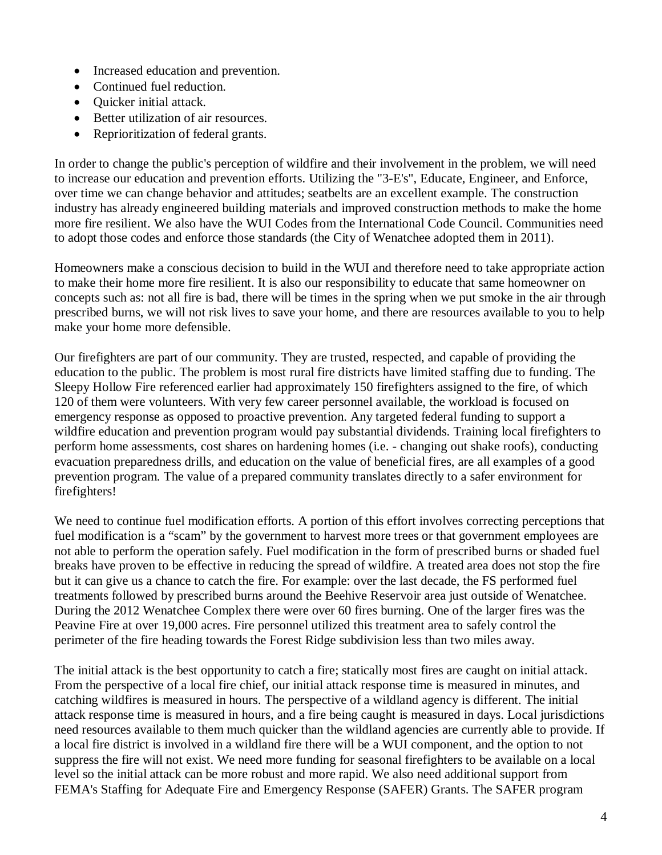- Increased education and prevention.
- Continued fuel reduction.
- Quicker initial attack.
- Better utilization of air resources.
- Reprioritization of federal grants.

In order to change the public's perception of wildfire and their involvement in the problem, we will need to increase our education and prevention efforts. Utilizing the "3-E's", Educate, Engineer, and Enforce, over time we can change behavior and attitudes; seatbelts are an excellent example. The construction industry has already engineered building materials and improved construction methods to make the home more fire resilient. We also have the WUI Codes from the International Code Council. Communities need to adopt those codes and enforce those standards (the City of Wenatchee adopted them in 2011).

Homeowners make a conscious decision to build in the WUI and therefore need to take appropriate action to make their home more fire resilient. It is also our responsibility to educate that same homeowner on concepts such as: not all fire is bad, there will be times in the spring when we put smoke in the air through prescribed burns, we will not risk lives to save your home, and there are resources available to you to help make your home more defensible.

Our firefighters are part of our community. They are trusted, respected, and capable of providing the education to the public. The problem is most rural fire districts have limited staffing due to funding. The Sleepy Hollow Fire referenced earlier had approximately 150 firefighters assigned to the fire, of which 120 of them were volunteers. With very few career personnel available, the workload is focused on emergency response as opposed to proactive prevention. Any targeted federal funding to support a wildfire education and prevention program would pay substantial dividends. Training local firefighters to perform home assessments, cost shares on hardening homes (i.e. - changing out shake roofs), conducting evacuation preparedness drills, and education on the value of beneficial fires, are all examples of a good prevention program. The value of a prepared community translates directly to a safer environment for firefighters!

We need to continue fuel modification efforts. A portion of this effort involves correcting perceptions that fuel modification is a "scam" by the government to harvest more trees or that government employees are not able to perform the operation safely. Fuel modification in the form of prescribed burns or shaded fuel breaks have proven to be effective in reducing the spread of wildfire. A treated area does not stop the fire but it can give us a chance to catch the fire. For example: over the last decade, the FS performed fuel treatments followed by prescribed burns around the Beehive Reservoir area just outside of Wenatchee. During the 2012 Wenatchee Complex there were over 60 fires burning. One of the larger fires was the Peavine Fire at over 19,000 acres. Fire personnel utilized this treatment area to safely control the perimeter of the fire heading towards the Forest Ridge subdivision less than two miles away.

The initial attack is the best opportunity to catch a fire; statically most fires are caught on initial attack. From the perspective of a local fire chief, our initial attack response time is measured in minutes, and catching wildfires is measured in hours. The perspective of a wildland agency is different. The initial attack response time is measured in hours, and a fire being caught is measured in days. Local jurisdictions need resources available to them much quicker than the wildland agencies are currently able to provide. If a local fire district is involved in a wildland fire there will be a WUI component, and the option to not suppress the fire will not exist. We need more funding for seasonal firefighters to be available on a local level so the initial attack can be more robust and more rapid. We also need additional support from FEMA's Staffing for Adequate Fire and Emergency Response (SAFER) Grants. The SAFER program